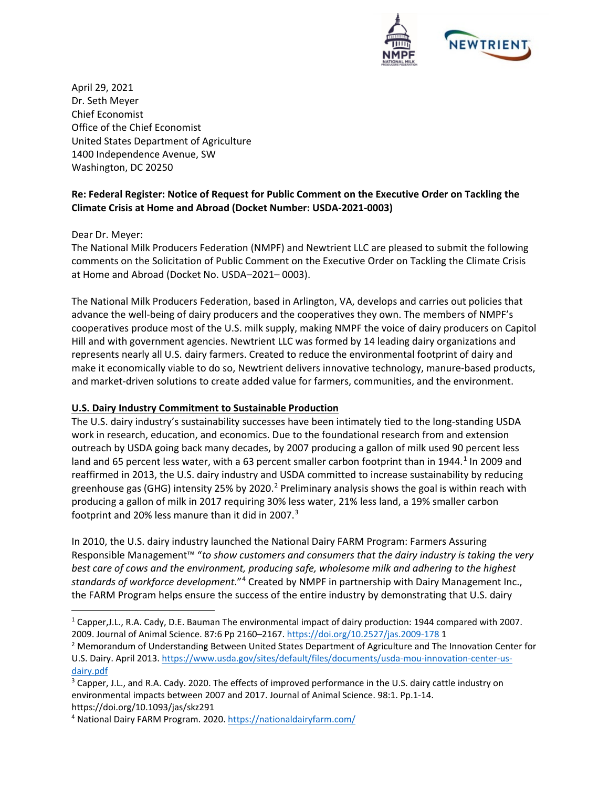

April 29, 2021 Dr. Seth Meyer Chief Economist Office of the Chief Economist United States Department of Agriculture 1400 Independence Avenue, SW Washington, DC 20250

## **Re: [Federal Register: Notice of Request for Public Comment on the Executive Order on Tackling the](https://www.federalregister.gov/documents/2021/03/16/2021-05287/notice-of-request-for-public-comment-on-the-executive-order-on-tackling-the-climate-crisis-at-home)  [Climate Crisis at Home and Abroad](https://www.federalregister.gov/documents/2021/03/16/2021-05287/notice-of-request-for-public-comment-on-the-executive-order-on-tackling-the-climate-crisis-at-home) (Docket Number: USDA-2021-0003)**

Dear Dr. Meyer:

The National Milk Producers Federation (NMPF) and Newtrient LLC are pleased to submit the following comments on the Solicitation of Public Comment on the Executive Order on Tackling the Climate Crisis at Home and Abroad (Docket No. USDA–2021– 0003).

The National Milk Producers Federation, based in Arlington, VA, develops and carries out policies that advance the well-being of dairy producers and the cooperatives they own. The members of NMPF's cooperatives produce most of the U.S. milk supply, making NMPF the voice of dairy producers on Capitol Hill and with government agencies. Newtrient LLC was formed by 14 leading dairy organizations and represents nearly all U.S. dairy farmers. Created to reduce the environmental footprint of dairy and make it economically viable to do so, Newtrient delivers innovative technology, manure-based products, and market-driven solutions to create added value for farmers, communities, and the environment.

#### **U.S. Dairy Industry Commitment to Sustainable Production**

The U.S. dairy industry's sustainability successes have been intimately tied to the long-standing USDA work in research, education, and economics. Due to the foundational research from and extension outreach by USDA going back many decades, by 2007 producing a gallon of milk used 90 percent less land and 65 percent less water, with a 63 percent smaller carbon footprint than in [1](#page-0-0)944.<sup>1</sup> In 2009 and reaffirmed in 2013, the U.S. dairy industry and USDA committed to increase sustainability by reducing greenhouse gas (GHG) intensity [2](#page-0-1)5% by 2020.<sup>2</sup> Preliminary analysis shows the goal is within reach with producing a gallon of milk in 2017 requiring 30% less water, 21% less land, a 19% smaller carbon footprint and 20% less manure than it did in 2007.[3](#page-0-2)

In 2010, the U.S. dairy industry launched the National Dairy FARM Program: Farmers Assuring Responsible Management™ "*to show customers and consumers that the dairy industry is taking the very best care of cows and the environment, producing safe, wholesome milk and adhering to the highest standards of workforce development*."[4](#page-0-3) Created by NMPF in partnership with Dairy Management Inc., the FARM Program helps ensure the success of the entire industry by demonstrating that U.S. dairy

<span id="page-0-0"></span><sup>1</sup> Capper,J.L., R.A. Cady, D.E. Bauman The environmental impact of dairy production: 1944 compared with 2007. 2009. Journal of Animal Science. 87:6 Pp 2160–2167[. https://doi.org/10.2527/jas.2009-178](https://doi.org/10.2527/jas.2009-178) 1

<span id="page-0-1"></span><sup>&</sup>lt;sup>2</sup> Memorandum of Understanding Between United States Department of Agriculture and The Innovation Center for U.S. Dairy. April 2013. [https://www.usda.gov/sites/default/files/documents/usda-mou-innovation-center-us](https://www.usda.gov/sites/default/files/documents/usda-mou-innovation-center-us-dairy.pdf)[dairy.pdf](https://www.usda.gov/sites/default/files/documents/usda-mou-innovation-center-us-dairy.pdf)

<span id="page-0-2"></span><sup>&</sup>lt;sup>3</sup> Capper, J.L., and R.A. Cady. 2020. The effects of improved performance in the U.S. dairy cattle industry on environmental impacts between 2007 and 2017. Journal of Animal Science. 98:1. Pp.1-14. https://doi.org/10.1093/jas/skz291

<span id="page-0-3"></span><sup>4</sup> National Dairy FARM Program. 2020[. https://nationaldairyfarm.com/](https://nationaldairyfarm.com/)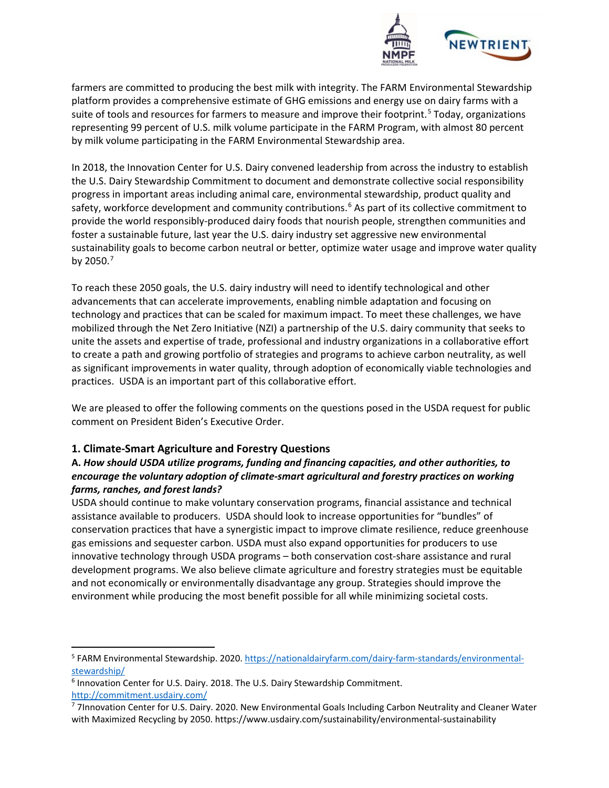

farmers are committed to producing the best milk with integrity. The FARM Environmental Stewardship platform provides a comprehensive estimate of GHG emissions and energy use on dairy farms with a suite of tools and resources for farmers to measure and improve their footprint.<sup>[5](#page-1-0)</sup> Today, organizations representing 99 percent of U.S. milk volume participate in the FARM Program, with almost 80 percent by milk volume participating in the FARM Environmental Stewardship area.

In 2018, the Innovation Center for U.S. Dairy convened leadership from across the industry to establish the U.S. Dairy Stewardship Commitment to document and demonstrate collective social responsibility progress in important areas including animal care, environmental stewardship, product quality and safety, workforce development and community contributions.<sup>[6](#page-1-1)</sup> As part of its collective commitment to provide the world responsibly-produced dairy foods that nourish people, strengthen communities and foster a sustainable future, last year the U.S. dairy industry set aggressive new environmental sustainability goals to become carbon neutral or better, optimize water usage and improve water quality by 2050.[7](#page-1-2)

To reach these 2050 goals, the U.S. dairy industry will need to identify technological and other advancements that can accelerate improvements, enabling nimble adaptation and focusing on technology and practices that can be scaled for maximum impact. To meet these challenges, we have mobilized through the Net Zero Initiative (NZI) a partnership of the U.S. dairy community that seeks to unite the assets and expertise of trade, professional and industry organizations in a collaborative effort to create a path and growing portfolio of strategies and programs to achieve carbon neutrality, as well as significant improvements in water quality, through adoption of economically viable technologies and practices. USDA is an important part of this collaborative effort.

We are pleased to offer the following comments on the questions posed in the USDA request for public comment on President Biden's Executive Order.

## **1. Climate-Smart Agriculture and Forestry Questions**

# **A.** *How should USDA utilize programs, funding and financing capacities, and other authorities, to encourage the voluntary adoption of climate-smart agricultural and forestry practices on working farms, ranches, and forest lands?*

USDA should continue to make voluntary conservation programs, financial assistance and technical assistance available to producers. USDA should look to increase opportunities for "bundles" of conservation practices that have a synergistic impact to improve climate resilience, reduce greenhouse gas emissions and sequester carbon. USDA must also expand opportunities for producers to use innovative technology through USDA programs – both conservation cost-share assistance and rural development programs. We also believe climate agriculture and forestry strategies must be equitable and not economically or environmentally disadvantage any group. Strategies should improve the environment while producing the most benefit possible for all while minimizing societal costs.

<span id="page-1-0"></span><sup>5</sup> FARM Environmental Stewardship. 2020[. https://nationaldairyfarm.com/dairy-farm-standards/environmental](https://nationaldairyfarm.com/dairy-farm-standards/environmental-stewardship/)[stewardship/](https://nationaldairyfarm.com/dairy-farm-standards/environmental-stewardship/)

<span id="page-1-1"></span><sup>6</sup> Innovation Center for U.S. Dairy. 2018. The U.S. Dairy Stewardship Commitment. <http://commitment.usdairy.com/>

<span id="page-1-2"></span><sup>7</sup> 7Innovation Center for U.S. Dairy. 2020. New Environmental Goals Including Carbon Neutrality and Cleaner Water with Maximized Recycling by 2050. https://www.usdairy.com/sustainability/environmental-sustainability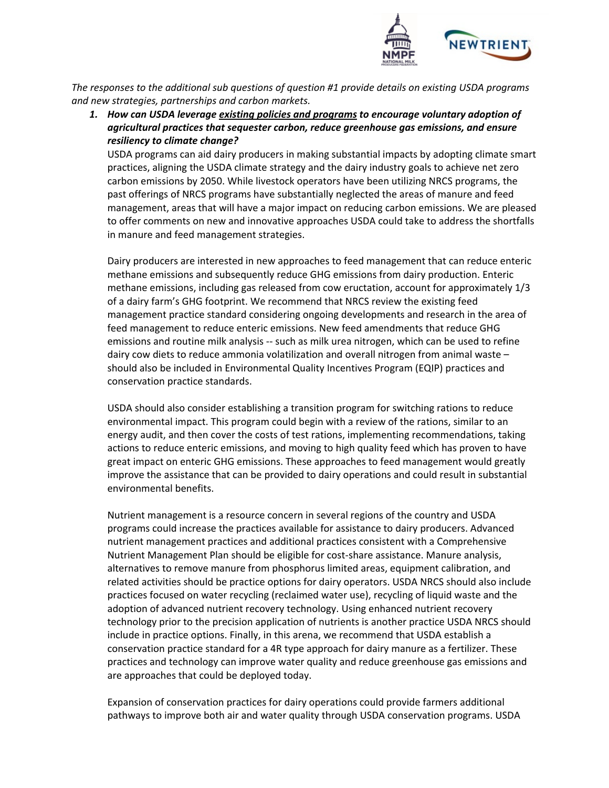

*The responses to the additional sub questions of question #1 provide details on existing USDA programs and new strategies, partnerships and carbon markets.* 

*1. How can USDA leverage existing policies and programs to encourage voluntary adoption of agricultural practices that sequester carbon, reduce greenhouse gas emissions, and ensure resiliency to climate change?*

USDA programs can aid dairy producers in making substantial impacts by adopting climate smart practices, aligning the USDA climate strategy and the dairy industry goals to achieve net zero carbon emissions by 2050. While livestock operators have been utilizing NRCS programs, the past offerings of NRCS programs have substantially neglected the areas of manure and feed management, areas that will have a major impact on reducing carbon emissions. We are pleased to offer comments on new and innovative approaches USDA could take to address the shortfalls in manure and feed management strategies.

Dairy producers are interested in new approaches to feed management that can reduce enteric methane emissions and subsequently reduce GHG emissions from dairy production. Enteric methane emissions, including gas released from cow eructation, account for approximately 1/3 of a dairy farm's GHG footprint. We recommend that NRCS review the existing feed management practice standard considering ongoing developments and research in the area of feed management to reduce enteric emissions. New feed amendments that reduce GHG emissions and routine milk analysis -- such as milk urea nitrogen, which can be used to refine dairy cow diets to reduce ammonia volatilization and overall nitrogen from animal waste – should also be included in Environmental Quality Incentives Program (EQIP) practices and conservation practice standards.

USDA should also consider establishing a transition program for switching rations to reduce environmental impact. This program could begin with a review of the rations, similar to an energy audit, and then cover the costs of test rations, implementing recommendations, taking actions to reduce enteric emissions, and moving to high quality feed which has proven to have great impact on enteric GHG emissions. These approaches to feed management would greatly improve the assistance that can be provided to dairy operations and could result in substantial environmental benefits.

Nutrient management is a resource concern in several regions of the country and USDA programs could increase the practices available for assistance to dairy producers. Advanced nutrient management practices and additional practices consistent with a Comprehensive Nutrient Management Plan should be eligible for cost-share assistance. Manure analysis, alternatives to remove manure from phosphorus limited areas, equipment calibration, and related activities should be practice options for dairy operators. USDA NRCS should also include practices focused on water recycling (reclaimed water use), recycling of liquid waste and the adoption of advanced nutrient recovery technology. Using enhanced nutrient recovery technology prior to the precision application of nutrients is another practice USDA NRCS should include in practice options. Finally, in this arena, we recommend that USDA establish a conservation practice standard for a 4R type approach for dairy manure as a fertilizer. These practices and technology can improve water quality and reduce greenhouse gas emissions and are approaches that could be deployed today.

Expansion of conservation practices for dairy operations could provide farmers additional pathways to improve both air and water quality through USDA conservation programs. USDA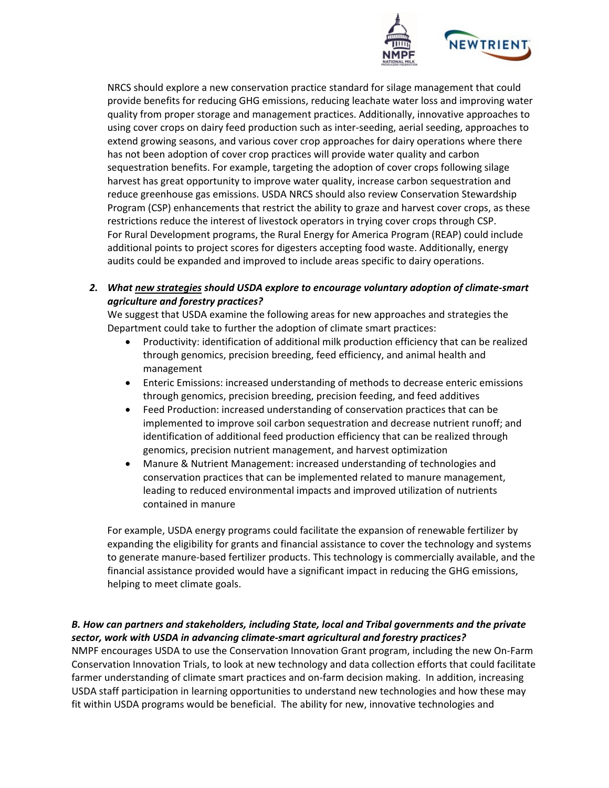

NRCS should explore a new conservation practice standard for silage management that could provide benefits for reducing GHG emissions, reducing leachate water loss and improving water quality from proper storage and management practices. Additionally, innovative approaches to using cover crops on dairy feed production such as inter-seeding, aerial seeding, approaches to extend growing seasons, and various cover crop approaches for dairy operations where there has not been adoption of cover crop practices will provide water quality and carbon sequestration benefits. For example, targeting the adoption of cover crops following silage harvest has great opportunity to improve water quality, increase carbon sequestration and reduce greenhouse gas emissions. USDA NRCS should also review Conservation Stewardship Program (CSP) enhancements that restrict the ability to graze and harvest cover crops, as these restrictions reduce the interest of livestock operators in trying cover crops through CSP. For Rural Development programs, the Rural Energy for America Program (REAP) could include additional points to project scores for digesters accepting food waste. Additionally, energy audits could be expanded and improved to include areas specific to dairy operations.

### *2. What new strategies should USDA explore to encourage voluntary adoption of climate-smart agriculture and forestry practices?*

We suggest that USDA examine the following areas for new approaches and strategies the Department could take to further the adoption of climate smart practices:

- Productivity: identification of additional milk production efficiency that can be realized through genomics, precision breeding, feed efficiency, and animal health and management
- Enteric Emissions: increased understanding of methods to decrease enteric emissions through genomics, precision breeding, precision feeding, and feed additives
- Feed Production: increased understanding of conservation practices that can be implemented to improve soil carbon sequestration and decrease nutrient runoff; and identification of additional feed production efficiency that can be realized through genomics, precision nutrient management, and harvest optimization
- Manure & Nutrient Management: increased understanding of technologies and conservation practices that can be implemented related to manure management, leading to reduced environmental impacts and improved utilization of nutrients contained in manure

For example, USDA energy programs could facilitate the expansion of renewable fertilizer by expanding the eligibility for grants and financial assistance to cover the technology and systems to generate manure-based fertilizer products. This technology is commercially available, and the financial assistance provided would have a significant impact in reducing the GHG emissions, helping to meet climate goals.

#### *B. How can partners and stakeholders, including State, local and Tribal governments and the private sector, work with USDA in advancing climate-smart agricultural and forestry practices?*

NMPF encourages USDA to use the Conservation Innovation Grant program, including the new On-Farm Conservation Innovation Trials, to look at new technology and data collection efforts that could facilitate farmer understanding of climate smart practices and on-farm decision making. In addition, increasing USDA staff participation in learning opportunities to understand new technologies and how these may fit within USDA programs would be beneficial. The ability for new, innovative technologies and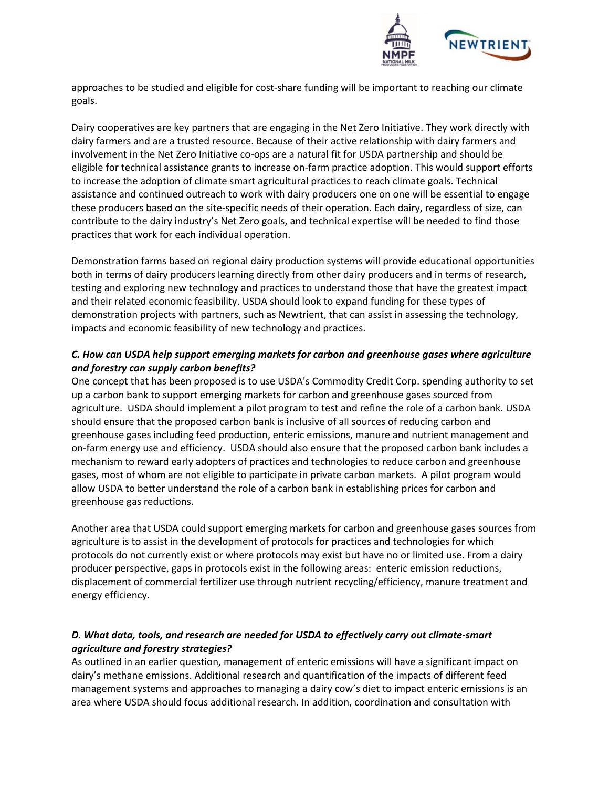

approaches to be studied and eligible for cost-share funding will be important to reaching our climate goals.

Dairy cooperatives are key partners that are engaging in the Net Zero Initiative. They work directly with dairy farmers and are a trusted resource. Because of their active relationship with dairy farmers and involvement in the Net Zero Initiative co-ops are a natural fit for USDA partnership and should be eligible for technical assistance grants to increase on-farm practice adoption. This would support efforts to increase the adoption of climate smart agricultural practices to reach climate goals. Technical assistance and continued outreach to work with dairy producers one on one will be essential to engage these producers based on the site-specific needs of their operation. Each dairy, regardless of size, can contribute to the dairy industry's Net Zero goals, and technical expertise will be needed to find those practices that work for each individual operation.

Demonstration farms based on regional dairy production systems will provide educational opportunities both in terms of dairy producers learning directly from other dairy producers and in terms of research, testing and exploring new technology and practices to understand those that have the greatest impact and their related economic feasibility. USDA should look to expand funding for these types of demonstration projects with partners, such as Newtrient, that can assist in assessing the technology, impacts and economic feasibility of new technology and practices.

## *C. How can USDA help support emerging markets for carbon and greenhouse gases where agriculture and forestry can supply carbon benefits?*

One concept that has been proposed is to use USDA's Commodity Credit Corp. spending authority to set up a carbon bank to support emerging markets for carbon and greenhouse gases sourced from agriculture. USDA should implement a pilot program to test and refine the role of a carbon bank. USDA should ensure that the proposed carbon bank is inclusive of all sources of reducing carbon and greenhouse gases including feed production, enteric emissions, manure and nutrient management and on-farm energy use and efficiency. USDA should also ensure that the proposed carbon bank includes a mechanism to reward early adopters of practices and technologies to reduce carbon and greenhouse gases, most of whom are not eligible to participate in private carbon markets. A pilot program would allow USDA to better understand the role of a carbon bank in establishing prices for carbon and greenhouse gas reductions.

Another area that USDA could support emerging markets for carbon and greenhouse gases sources from agriculture is to assist in the development of protocols for practices and technologies for which protocols do not currently exist or where protocols may exist but have no or limited use. From a dairy producer perspective, gaps in protocols exist in the following areas: enteric emission reductions, displacement of commercial fertilizer use through nutrient recycling/efficiency, manure treatment and energy efficiency.

## *D. What data, tools, and research are needed for USDA to effectively carry out climate-smart agriculture and forestry strategies?*

As outlined in an earlier question, management of enteric emissions will have a significant impact on dairy's methane emissions. Additional research and quantification of the impacts of different feed management systems and approaches to managing a dairy cow's diet to impact enteric emissions is an area where USDA should focus additional research. In addition, coordination and consultation with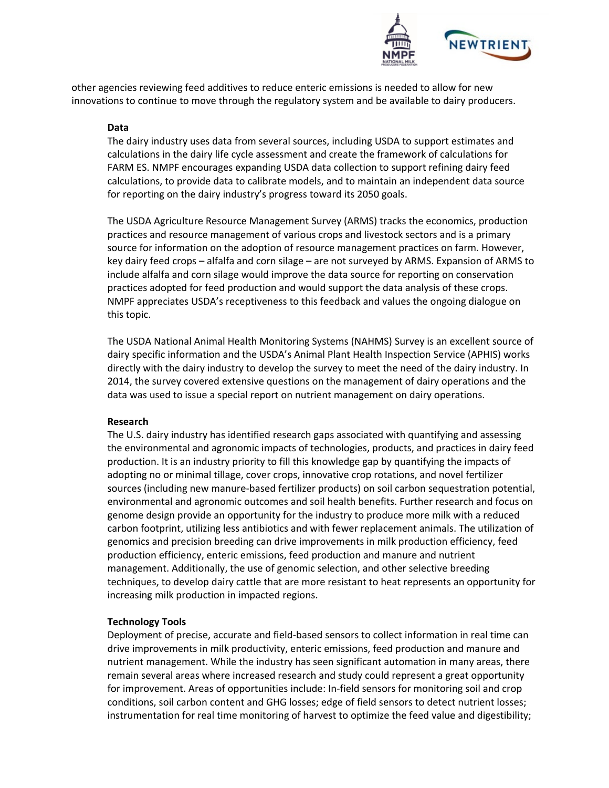

other agencies reviewing feed additives to reduce enteric emissions is needed to allow for new innovations to continue to move through the regulatory system and be available to dairy producers.

#### **Data**

The dairy industry uses data from several sources, including USDA to support estimates and calculations in the dairy life cycle assessment and create the framework of calculations for FARM ES. NMPF encourages expanding USDA data collection to support refining dairy feed calculations, to provide data to calibrate models, and to maintain an independent data source for reporting on the dairy industry's progress toward its 2050 goals.

The USDA Agriculture Resource Management Survey (ARMS) tracks the economics, production practices and resource management of various crops and livestock sectors and is a primary source for information on the adoption of resource management practices on farm. However, key dairy feed crops – alfalfa and corn silage – are not surveyed by ARMS. Expansion of ARMS to include alfalfa and corn silage would improve the data source for reporting on conservation practices adopted for feed production and would support the data analysis of these crops. NMPF appreciates USDA's receptiveness to this feedback and values the ongoing dialogue on this topic.

The USDA National Animal Health Monitoring Systems (NAHMS) Survey is an excellent source of dairy specific information and the USDA's Animal Plant Health Inspection Service (APHIS) works directly with the dairy industry to develop the survey to meet the need of the dairy industry. In 2014, the survey covered extensive questions on the management of dairy operations and the data was used to issue a special report on nutrient management on dairy operations.

#### **Research**

The U.S. dairy industry has identified research gaps associated with quantifying and assessing the environmental and agronomic impacts of technologies, products, and practices in dairy feed production. It is an industry priority to fill this knowledge gap by quantifying the impacts of adopting no or minimal tillage, cover crops, innovative crop rotations, and novel fertilizer sources (including new manure-based fertilizer products) on soil carbon sequestration potential, environmental and agronomic outcomes and soil health benefits. Further research and focus on genome design provide an opportunity for the industry to produce more milk with a reduced carbon footprint, utilizing less antibiotics and with fewer replacement animals. The utilization of genomics and precision breeding can drive improvements in milk production efficiency, feed production efficiency, enteric emissions, feed production and manure and nutrient management. Additionally, the use of genomic selection, and other selective breeding techniques, to develop dairy cattle that are more resistant to heat represents an opportunity for increasing milk production in impacted regions.

#### **Technology Tools**

Deployment of precise, accurate and field-based sensors to collect information in real time can drive improvements in milk productivity, enteric emissions, feed production and manure and nutrient management. While the industry has seen significant automation in many areas, there remain several areas where increased research and study could represent a great opportunity for improvement. Areas of opportunities include: In-field sensors for monitoring soil and crop conditions, soil carbon content and GHG losses; edge of field sensors to detect nutrient losses; instrumentation for real time monitoring of harvest to optimize the feed value and digestibility;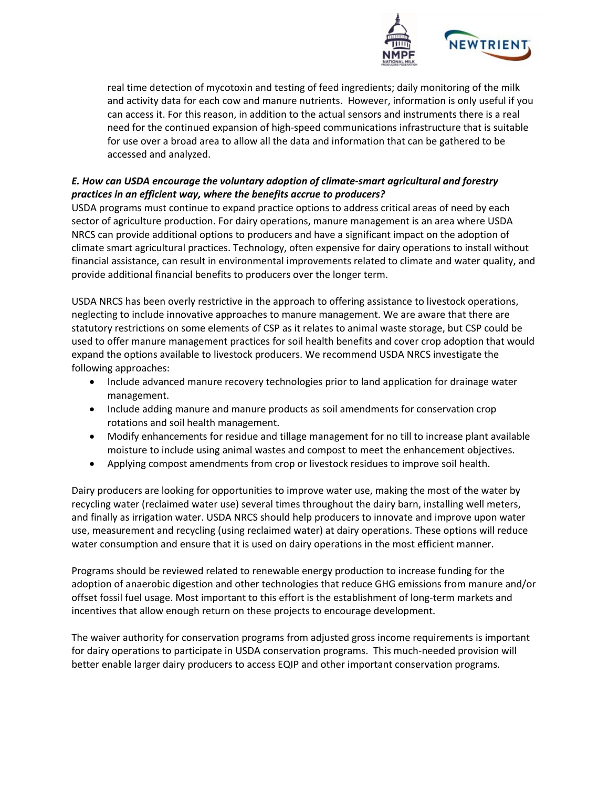

real time detection of mycotoxin and testing of feed ingredients; daily monitoring of the milk and activity data for each cow and manure nutrients. However, information is only useful if you can access it. For this reason, in addition to the actual sensors and instruments there is a real need for the continued expansion of high-speed communications infrastructure that is suitable for use over a broad area to allow all the data and information that can be gathered to be accessed and analyzed.

# *E. How can USDA encourage the voluntary adoption of climate-smart agricultural and forestry practices in an efficient way, where the benefits accrue to producers?*

USDA programs must continue to expand practice options to address critical areas of need by each sector of agriculture production. For dairy operations, manure management is an area where USDA NRCS can provide additional options to producers and have a significant impact on the adoption of climate smart agricultural practices. Technology, often expensive for dairy operations to install without financial assistance, can result in environmental improvements related to climate and water quality, and provide additional financial benefits to producers over the longer term.

USDA NRCS has been overly restrictive in the approach to offering assistance to livestock operations, neglecting to include innovative approaches to manure management. We are aware that there are statutory restrictions on some elements of CSP as it relates to animal waste storage, but CSP could be used to offer manure management practices for soil health benefits and cover crop adoption that would expand the options available to livestock producers. We recommend USDA NRCS investigate the following approaches:

- Include advanced manure recovery technologies prior to land application for drainage water management.
- Include adding manure and manure products as soil amendments for conservation crop rotations and soil health management.
- Modify enhancements for residue and tillage management for no till to increase plant available moisture to include using animal wastes and compost to meet the enhancement objectives.
- Applying compost amendments from crop or livestock residues to improve soil health.

Dairy producers are looking for opportunities to improve water use, making the most of the water by recycling water (reclaimed water use) several times throughout the dairy barn, installing well meters, and finally as irrigation water. USDA NRCS should help producers to innovate and improve upon water use, measurement and recycling (using reclaimed water) at dairy operations. These options will reduce water consumption and ensure that it is used on dairy operations in the most efficient manner.

Programs should be reviewed related to renewable energy production to increase funding for the adoption of anaerobic digestion and other technologies that reduce GHG emissions from manure and/or offset fossil fuel usage. Most important to this effort is the establishment of long-term markets and incentives that allow enough return on these projects to encourage development.

The waiver authority for conservation programs from adjusted gross income requirements is important for dairy operations to participate in USDA conservation programs. This much-needed provision will better enable larger dairy producers to access EQIP and other important conservation programs.